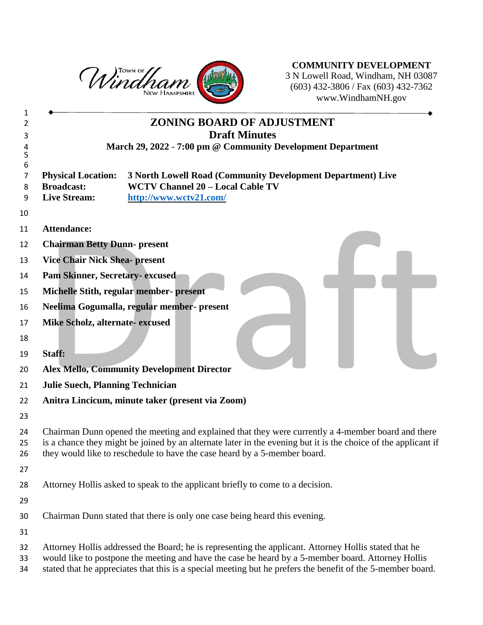

**COMMUNITY DEVELOPMENT** N Lowell Road, Windham, NH 03087 (603) 432-3806 / Fax (603) 432-7362 www.WindhamNH.gov

| 1                |                                                                                                                                                                                                                                                                                                                            |
|------------------|----------------------------------------------------------------------------------------------------------------------------------------------------------------------------------------------------------------------------------------------------------------------------------------------------------------------------|
| 2                | <b>ZONING BOARD OF ADJUSTMENT</b>                                                                                                                                                                                                                                                                                          |
| 3                | <b>Draft Minutes</b>                                                                                                                                                                                                                                                                                                       |
| 4<br>5           | March 29, 2022 - 7:00 pm @ Community Development Department                                                                                                                                                                                                                                                                |
| 6<br>7<br>8<br>9 | 3 North Lowell Road (Community Development Department) Live<br><b>Physical Location:</b><br><b>WCTV Channel 20 - Local Cable TV</b><br><b>Broadcast:</b><br><b>Live Stream:</b><br>http://www.wctv21.com/                                                                                                                  |
| 10<br>11         | <b>Attendance:</b>                                                                                                                                                                                                                                                                                                         |
|                  |                                                                                                                                                                                                                                                                                                                            |
| 12               | <b>Chairman Betty Dunn- present</b>                                                                                                                                                                                                                                                                                        |
| 13               | <b>Vice Chair Nick Shea- present</b>                                                                                                                                                                                                                                                                                       |
| 14               | Pam Skinner, Secretary-excused                                                                                                                                                                                                                                                                                             |
| 15               | Michelle Stith, regular member- present                                                                                                                                                                                                                                                                                    |
| 16               | Neelima Gogumalla, regular member- present                                                                                                                                                                                                                                                                                 |
| 17               | Mike Scholz, alternate-excused                                                                                                                                                                                                                                                                                             |
| 18               |                                                                                                                                                                                                                                                                                                                            |
| 19               | Staff:                                                                                                                                                                                                                                                                                                                     |
| 20               | <b>Alex Mello, Community Development Director</b>                                                                                                                                                                                                                                                                          |
| 21               | <b>Julie Suech, Planning Technician</b>                                                                                                                                                                                                                                                                                    |
| 22               | Anitra Lincicum, minute taker (present via Zoom)                                                                                                                                                                                                                                                                           |
| 23               |                                                                                                                                                                                                                                                                                                                            |
| 24<br>25<br>26   | Chairman Dunn opened the meeting and explained that they were currently a 4-member board and there<br>is a chance they might be joined by an alternate later in the evening but it is the choice of the applicant if<br>they would like to reschedule to have the case heard by a 5-member board.                          |
| 27               |                                                                                                                                                                                                                                                                                                                            |
| 28               | Attorney Hollis asked to speak to the applicant briefly to come to a decision.                                                                                                                                                                                                                                             |
| 29               |                                                                                                                                                                                                                                                                                                                            |
| 30               | Chairman Dunn stated that there is only one case being heard this evening.                                                                                                                                                                                                                                                 |
| 31               |                                                                                                                                                                                                                                                                                                                            |
| 32<br>33<br>34   | Attorney Hollis addressed the Board; he is representing the applicant. Attorney Hollis stated that he<br>would like to postpone the meeting and have the case be heard by a 5-member board. Attorney Hollis<br>stated that he appreciates that this is a special meeting but he prefers the benefit of the 5-member board. |